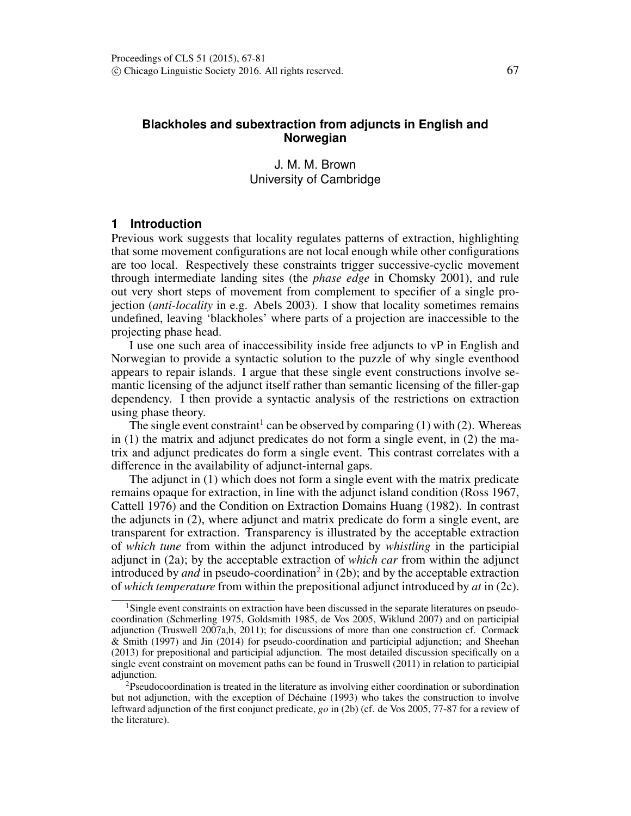# **Blackholes and subextraction from adjuncts in English and Norwegian**

J. M. M. Brown University of Cambridge

# **1 Introduction**

Previous work suggests that locality regulates patterns of extraction, highlighting that some movement configurations are not local enough while other configurations are too local. Respectively these constraints trigger successive-cyclic movement through intermediate landing sites (the *phase edge* in Chomsky 2001), and rule out very short steps of movement from complement to specifier of a single projection (*anti-locality* in e.g. Abels 2003). I show that locality sometimes remains undefined, leaving 'blackholes' where parts of a projection are inaccessible to the projecting phase head.

I use one such area of inaccessibility inside free adjuncts to vP in English and Norwegian to provide a syntactic solution to the puzzle of why single eventhood appears to repair islands. I argue that these single event constructions involve semantic licensing of the adjunct itself rather than semantic licensing of the filler-gap dependency. I then provide a syntactic analysis of the restrictions on extraction using phase theory.

The single event constraint<sup>1</sup> can be observed by comparing (1) with (2). Whereas in (1) the matrix and adjunct predicates do not form a single event, in (2) the matrix and adjunct predicates do form a single event. This contrast correlates with a difference in the availability of adjunct-internal gaps.

The adjunct in (1) which does not form a single event with the matrix predicate remains opaque for extraction, in line with the adjunct island condition (Ross 1967, Cattell 1976) and the Condition on Extraction Domains Huang (1982). In contrast the adjuncts in (2), where adjunct and matrix predicate do form a single event, are transparent for extraction. Transparency is illustrated by the acceptable extraction of *which tune* from within the adjunct introduced by *whistling* in the participial adjunct in (2a); by the acceptable extraction of *which car* from within the adjunct introduced by *and* in pseudo-coordination<sup>2</sup> in (2b); and by the acceptable extraction of *which temperature* from within the prepositional adjunct introduced by *at* in (2c).

<sup>&</sup>lt;sup>1</sup>Single event constraints on extraction have been discussed in the separate literatures on pseudocoordination (Schmerling 1975, Goldsmith 1985, de Vos 2005, Wiklund 2007) and on participial adjunction (Truswell 2007a,b, 2011); for discussions of more than one construction cf. Cormack & Smith (1997) and Jin (2014) for pseudo-coordination and participial adjunction; and Sheehan (2013) for prepositional and participial adjunction. The most detailed discussion specifically on a single event constraint on movement paths can be found in Truswell (2011) in relation to participial adjunction.

<sup>2</sup>Pseudocoordination is treated in the literature as involving either coordination or subordination but not adjunction, with the exception of Déchaine (1993) who takes the construction to involve leftward adjunction of the first conjunct predicate, *go* in (2b) (cf. de Vos 2005, 77-87 for a review of the literature).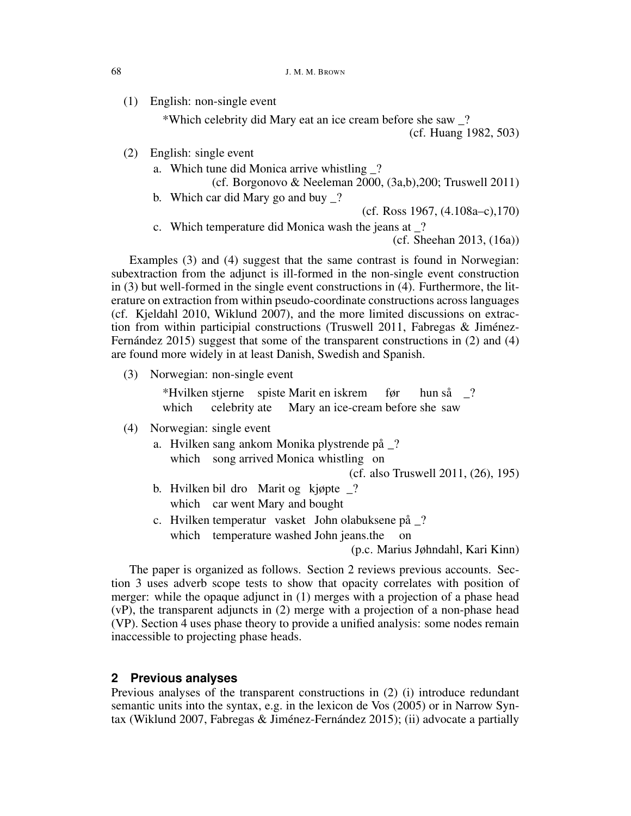(1) English: non-single event

\*Which celebrity did Mary eat an ice cream before she saw \_? (cf. Huang 1982, 503)

- (2) English: single event
	- a. Which tune did Monica arrive whistling \_?
		- (cf. Borgonovo & Neeleman 2000, (3a,b),200; Truswell 2011)
	- b. Which car did Mary go and buy \_?

(cf. Ross 1967, (4.108a–c),170)

c. Which temperature did Monica wash the jeans at \_?

(cf. Sheehan 2013, (16a))

Examples (3) and (4) suggest that the same contrast is found in Norwegian: subextraction from the adjunct is ill-formed in the non-single event construction in (3) but well-formed in the single event constructions in (4). Furthermore, the literature on extraction from within pseudo-coordinate constructions across languages (cf. Kjeldahl 2010, Wiklund 2007), and the more limited discussions on extraction from within participial constructions (Truswell 2011, Fabregas & Jiménez-Fernández 2015) suggest that some of the transparent constructions in (2) and (4) are found more widely in at least Danish, Swedish and Spanish.

(3) Norwegian: non-single event

\*Hvilken stjerne spiste Marit en iskrem which celebrity ate Mary an ice-cream before she saw før hun så \_?

- (4) Norwegian: single event
	- a. Hvilken sang ankom Monika plystrende på \_? which song arrived Monica whistling on

(cf. also Truswell 2011, (26), 195)

- b. Hvilken bil dro Marit og kjøpte \_? which car went Mary and bought
- c. Hvilken temperatur vasket John olabuksene på \_? which temperature washed John jeans.the on

(p.c. Marius Jøhndahl, Kari Kinn)

The paper is organized as follows. Section 2 reviews previous accounts. Section 3 uses adverb scope tests to show that opacity correlates with position of merger: while the opaque adjunct in (1) merges with a projection of a phase head (vP), the transparent adjuncts in (2) merge with a projection of a non-phase head (VP). Section 4 uses phase theory to provide a unified analysis: some nodes remain inaccessible to projecting phase heads.

# **2 Previous analyses**

Previous analyses of the transparent constructions in (2) (i) introduce redundant semantic units into the syntax, e.g. in the lexicon de Vos (2005) or in Narrow Syntax (Wiklund 2007, Fabregas & Jiménez-Fernández 2015); (ii) advocate a partially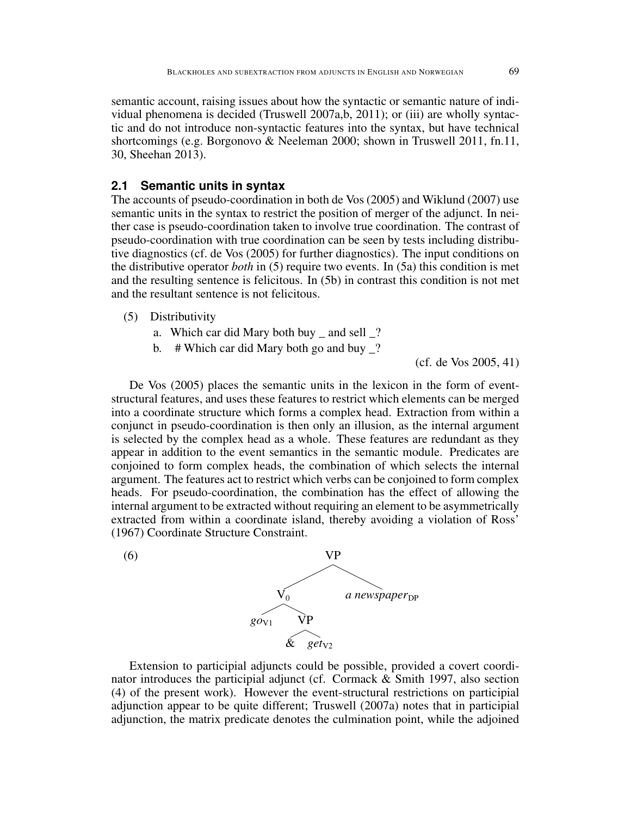semantic account, raising issues about how the syntactic or semantic nature of individual phenomena is decided (Truswell 2007a,b, 2011); or (iii) are wholly syntactic and do not introduce non-syntactic features into the syntax, but have technical shortcomings (e.g. Borgonovo & Neeleman 2000; shown in Truswell 2011, fn.11, 30, Sheehan 2013).

## **2.1 Semantic units in syntax**

The accounts of pseudo-coordination in both de Vos (2005) and Wiklund (2007) use semantic units in the syntax to restrict the position of merger of the adjunct. In neither case is pseudo-coordination taken to involve true coordination. The contrast of pseudo-coordination with true coordination can be seen by tests including distributive diagnostics (cf. de Vos (2005) for further diagnostics). The input conditions on the distributive operator *both* in (5) require two events. In (5a) this condition is met and the resulting sentence is felicitous. In (5b) in contrast this condition is not met and the resultant sentence is not felicitous.

## (5) Distributivity

- a. Which car did Mary both buy  $\equiv$  and sell  $\equiv$ ?
- b.  $\#$  Which car did Mary both go and buy ?

(cf. de Vos 2005, 41)

De Vos (2005) places the semantic units in the lexicon in the form of eventstructural features, and uses these features to restrict which elements can be merged into a coordinate structure which forms a complex head. Extraction from within a conjunct in pseudo-coordination is then only an illusion, as the internal argument is selected by the complex head as a whole. These features are redundant as they appear in addition to the event semantics in the semantic module. Predicates are conjoined to form complex heads, the combination of which selects the internal argument. The features act to restrict which verbs can be conjoined to form complex heads. For pseudo-coordination, the combination has the effect of allowing the internal argument to be extracted without requiring an element to be asymmetrically extracted from within a coordinate island, thereby avoiding a violation of Ross' (1967) Coordinate Structure Constraint.



Extension to participial adjuncts could be possible, provided a covert coordinator introduces the participial adjunct (cf. Cormack & Smith 1997, also section (4) of the present work). However the event-structural restrictions on participial adjunction appear to be quite different; Truswell (2007a) notes that in participial adjunction, the matrix predicate denotes the culmination point, while the adjoined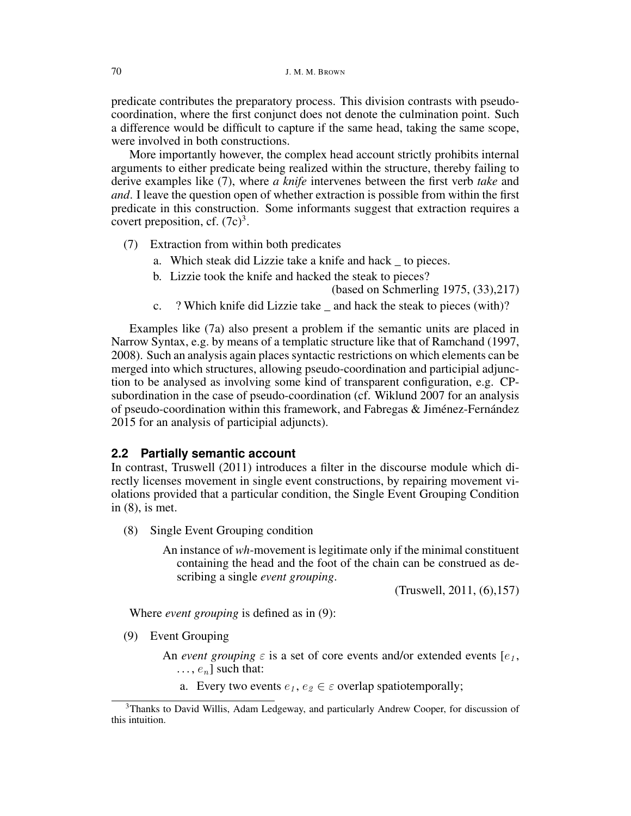predicate contributes the preparatory process. This division contrasts with pseudocoordination, where the first conjunct does not denote the culmination point. Such a difference would be difficult to capture if the same head, taking the same scope, were involved in both constructions.

More importantly however, the complex head account strictly prohibits internal arguments to either predicate being realized within the structure, thereby failing to derive examples like (7), where *a knife* intervenes between the first verb *take* and *and*. I leave the question open of whether extraction is possible from within the first predicate in this construction. Some informants suggest that extraction requires a covert preposition, cf.  $(7c)^3$ .

- (7) Extraction from within both predicates
	- a. Which steak did Lizzie take a knife and hack \_ to pieces.
	- b. Lizzie took the knife and hacked the steak to pieces?

(based on Schmerling 1975, (33),217)

c. ? Which knife did Lizzie take \_ and hack the steak to pieces (with)?

Examples like (7a) also present a problem if the semantic units are placed in Narrow Syntax, e.g. by means of a templatic structure like that of Ramchand (1997, 2008). Such an analysis again places syntactic restrictions on which elements can be merged into which structures, allowing pseudo-coordination and participial adjunction to be analysed as involving some kind of transparent configuration, e.g. CPsubordination in the case of pseudo-coordination (cf. Wiklund 2007 for an analysis of pseudo-coordination within this framework, and Fabregas & Jiménez-Fernández 2015 for an analysis of participial adjuncts).

# **2.2 Partially semantic account**

In contrast, Truswell (2011) introduces a filter in the discourse module which directly licenses movement in single event constructions, by repairing movement violations provided that a particular condition, the Single Event Grouping Condition in (8), is met.

(8) Single Event Grouping condition

An instance of *wh*-movement is legitimate only if the minimal constituent containing the head and the foot of the chain can be construed as describing a single *event grouping*.

(Truswell, 2011, (6),157)

Where *event grouping* is defined as in (9):

(9) Event Grouping

An *event grouping*  $\varepsilon$  is a set of core events and/or extended events  $[e_1,$  $\ldots$ ,  $e_n$ ] such that:

a. Every two events  $e_1, e_2 \in \varepsilon$  overlap spatiotemporally;

<sup>3</sup>Thanks to David Willis, Adam Ledgeway, and particularly Andrew Cooper, for discussion of this intuition.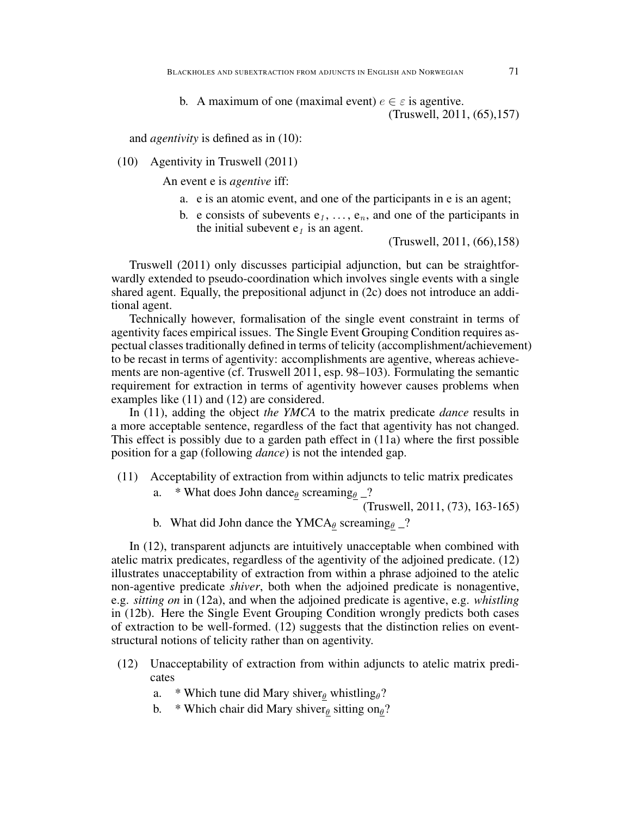and *agentivity* is defined as in (10):

#### (10) Agentivity in Truswell (2011)

An event e is *agentive* iff:

- a. e is an atomic event, and one of the participants in e is an agent;
- b. e consists of subevents  $e_1, \ldots, e_n$ , and one of the participants in the initial subevent  $e_1$  is an agent.

(Truswell, 2011, (66),158)

Truswell (2011) only discusses participial adjunction, but can be straightforwardly extended to pseudo-coordination which involves single events with a single shared agent. Equally, the prepositional adjunct in (2c) does not introduce an additional agent.

Technically however, formalisation of the single event constraint in terms of agentivity faces empirical issues. The Single Event Grouping Condition requires aspectual classes traditionally defined in terms of telicity (accomplishment/achievement) to be recast in terms of agentivity: accomplishments are agentive, whereas achievements are non-agentive (cf. Truswell 2011, esp. 98–103). Formulating the semantic requirement for extraction in terms of agentivity however causes problems when examples like (11) and (12) are considered.

In (11), adding the object *the YMCA* to the matrix predicate *dance* results in a more acceptable sentence, regardless of the fact that agentivity has not changed. This effect is possibly due to a garden path effect in (11a) where the first possible position for a gap (following *dance*) is not the intended gap.

- (11) Acceptability of extraction from within adjuncts to telic matrix predicates
	- a. \* What does John dance  $\theta$  screaming  $\theta$  \_?

(Truswell, 2011, (73), 163-165)

b. What did John dance the YMCA $_{\theta}$  screaming $_{\theta}$  \_?

In (12), transparent adjuncts are intuitively unacceptable when combined with atelic matrix predicates, regardless of the agentivity of the adjoined predicate. (12) illustrates unacceptability of extraction from within a phrase adjoined to the atelic non-agentive predicate *shiver*, both when the adjoined predicate is nonagentive, e.g. *sitting on* in (12a), and when the adjoined predicate is agentive, e.g. *whistling* in (12b). Here the Single Event Grouping Condition wrongly predicts both cases of extraction to be well-formed. (12) suggests that the distinction relies on eventstructural notions of telicity rather than on agentivity.

- (12) Unacceptability of extraction from within adjuncts to atelic matrix predicates
	- a. \* Which tune did Mary shiver $\theta$  whistling $\theta$ ?
	- b. \* Which chair did Mary shiver $_\theta$  sitting on $_\theta$ ?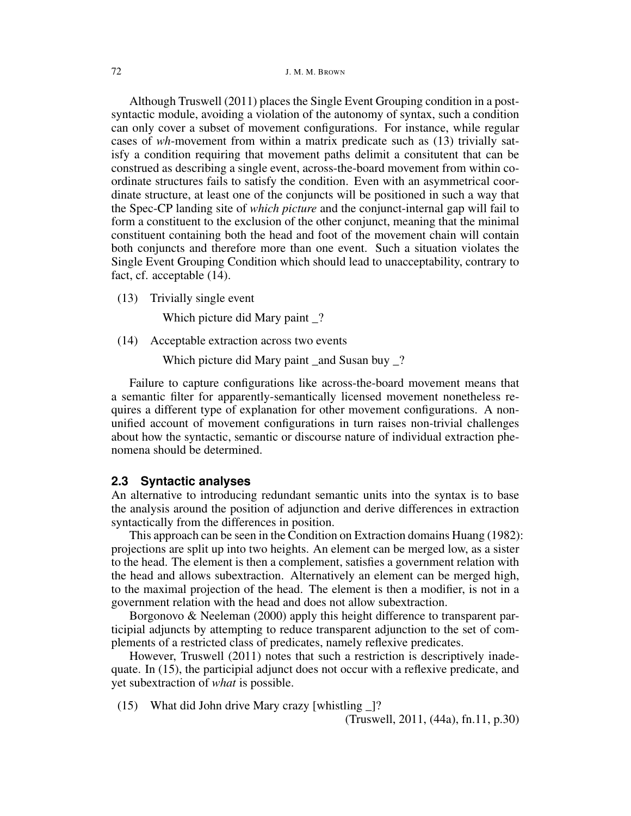Although Truswell (2011) places the Single Event Grouping condition in a postsyntactic module, avoiding a violation of the autonomy of syntax, such a condition can only cover a subset of movement configurations. For instance, while regular cases of *wh*-movement from within a matrix predicate such as (13) trivially satisfy a condition requiring that movement paths delimit a consitutent that can be construed as describing a single event, across-the-board movement from within coordinate structures fails to satisfy the condition. Even with an asymmetrical coordinate structure, at least one of the conjuncts will be positioned in such a way that the Spec-CP landing site of *which picture* and the conjunct-internal gap will fail to form a constituent to the exclusion of the other conjunct, meaning that the minimal constituent containing both the head and foot of the movement chain will contain both conjuncts and therefore more than one event. Such a situation violates the Single Event Grouping Condition which should lead to unacceptability, contrary to fact, cf. acceptable (14).

(13) Trivially single event

Which picture did Mary paint \_?

(14) Acceptable extraction across two events

Which picture did Mary paint and Susan buy ?

Failure to capture configurations like across-the-board movement means that a semantic filter for apparently-semantically licensed movement nonetheless requires a different type of explanation for other movement configurations. A nonunified account of movement configurations in turn raises non-trivial challenges about how the syntactic, semantic or discourse nature of individual extraction phenomena should be determined.

## **2.3 Syntactic analyses**

An alternative to introducing redundant semantic units into the syntax is to base the analysis around the position of adjunction and derive differences in extraction syntactically from the differences in position.

This approach can be seen in the Condition on Extraction domains Huang (1982): projections are split up into two heights. An element can be merged low, as a sister to the head. The element is then a complement, satisfies a government relation with the head and allows subextraction. Alternatively an element can be merged high, to the maximal projection of the head. The element is then a modifier, is not in a government relation with the head and does not allow subextraction.

Borgonovo & Neeleman (2000) apply this height difference to transparent participial adjuncts by attempting to reduce transparent adjunction to the set of complements of a restricted class of predicates, namely reflexive predicates.

However, Truswell (2011) notes that such a restriction is descriptively inadequate. In (15), the participial adjunct does not occur with a reflexive predicate, and yet subextraction of *what* is possible.

(15) What did John drive Mary crazy [whistling \_]?

(Truswell, 2011, (44a), fn.11, p.30)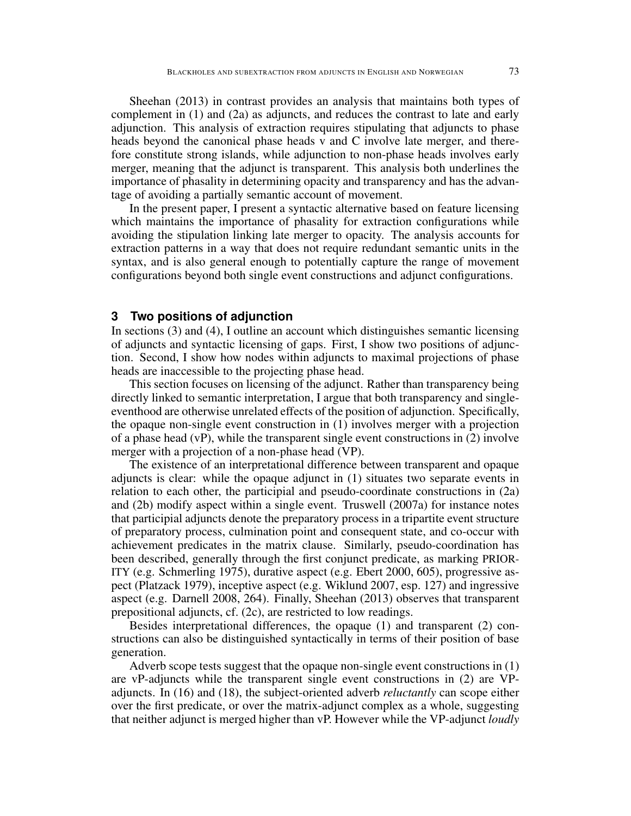Sheehan (2013) in contrast provides an analysis that maintains both types of complement in (1) and (2a) as adjuncts, and reduces the contrast to late and early adjunction. This analysis of extraction requires stipulating that adjuncts to phase heads beyond the canonical phase heads v and C involve late merger, and therefore constitute strong islands, while adjunction to non-phase heads involves early merger, meaning that the adjunct is transparent. This analysis both underlines the importance of phasality in determining opacity and transparency and has the advantage of avoiding a partially semantic account of movement.

In the present paper, I present a syntactic alternative based on feature licensing which maintains the importance of phasality for extraction configurations while avoiding the stipulation linking late merger to opacity. The analysis accounts for extraction patterns in a way that does not require redundant semantic units in the syntax, and is also general enough to potentially capture the range of movement configurations beyond both single event constructions and adjunct configurations.

## **3 Two positions of adjunction**

In sections (3) and (4), I outline an account which distinguishes semantic licensing of adjuncts and syntactic licensing of gaps. First, I show two positions of adjunction. Second, I show how nodes within adjuncts to maximal projections of phase heads are inaccessible to the projecting phase head.

This section focuses on licensing of the adjunct. Rather than transparency being directly linked to semantic interpretation, I argue that both transparency and singleeventhood are otherwise unrelated effects of the position of adjunction. Specifically, the opaque non-single event construction in (1) involves merger with a projection of a phase head (vP), while the transparent single event constructions in (2) involve merger with a projection of a non-phase head (VP).

The existence of an interpretational difference between transparent and opaque adjuncts is clear: while the opaque adjunct in (1) situates two separate events in relation to each other, the participial and pseudo-coordinate constructions in (2a) and (2b) modify aspect within a single event. Truswell (2007a) for instance notes that participial adjuncts denote the preparatory process in a tripartite event structure of preparatory process, culmination point and consequent state, and co-occur with achievement predicates in the matrix clause. Similarly, pseudo-coordination has been described, generally through the first conjunct predicate, as marking PRIOR-ITY (e.g. Schmerling 1975), durative aspect (e.g. Ebert 2000, 605), progressive aspect (Platzack 1979), inceptive aspect (e.g. Wiklund 2007, esp. 127) and ingressive aspect (e.g. Darnell 2008, 264). Finally, Sheehan (2013) observes that transparent prepositional adjuncts, cf. (2c), are restricted to low readings.

Besides interpretational differences, the opaque (1) and transparent (2) constructions can also be distinguished syntactically in terms of their position of base generation.

Adverb scope tests suggest that the opaque non-single event constructions in (1) are vP-adjuncts while the transparent single event constructions in (2) are VPadjuncts. In (16) and (18), the subject-oriented adverb *reluctantly* can scope either over the first predicate, or over the matrix-adjunct complex as a whole, suggesting that neither adjunct is merged higher than vP. However while the VP-adjunct *loudly*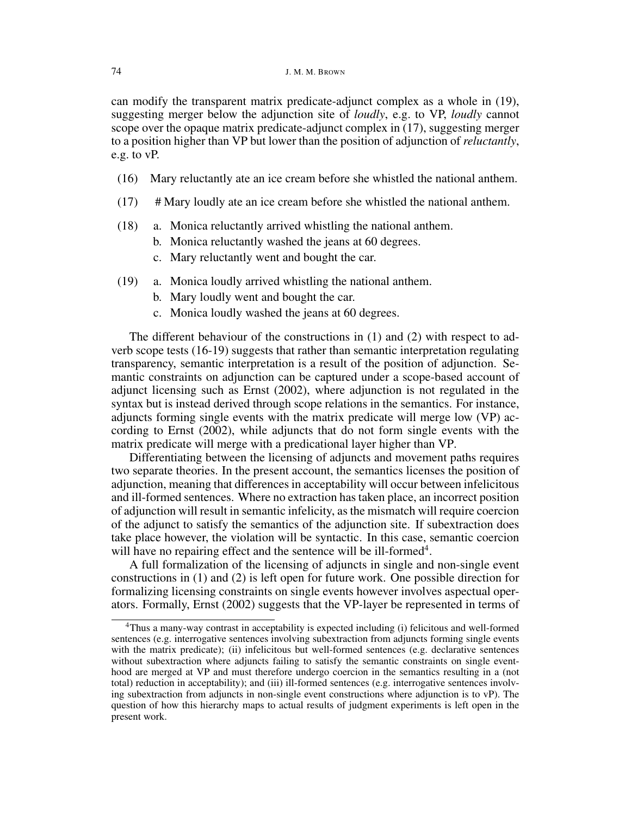can modify the transparent matrix predicate-adjunct complex as a whole in (19), suggesting merger below the adjunction site of *loudly*, e.g. to VP, *loudly* cannot scope over the opaque matrix predicate-adjunct complex in (17), suggesting merger to a position higher than VP but lower than the position of adjunction of *reluctantly*, e.g. to vP.

- (16) Mary reluctantly ate an ice cream before she whistled the national anthem.
- (17) # Mary loudly ate an ice cream before she whistled the national anthem.
- (18) a. Monica reluctantly arrived whistling the national anthem.
	- b. Monica reluctantly washed the jeans at 60 degrees.
	- c. Mary reluctantly went and bought the car.
- (19) a. Monica loudly arrived whistling the national anthem.
	- b. Mary loudly went and bought the car.
	- c. Monica loudly washed the jeans at 60 degrees.

The different behaviour of the constructions in (1) and (2) with respect to adverb scope tests (16-19) suggests that rather than semantic interpretation regulating transparency, semantic interpretation is a result of the position of adjunction. Semantic constraints on adjunction can be captured under a scope-based account of adjunct licensing such as Ernst (2002), where adjunction is not regulated in the syntax but is instead derived through scope relations in the semantics. For instance, adjuncts forming single events with the matrix predicate will merge low (VP) according to Ernst (2002), while adjuncts that do not form single events with the matrix predicate will merge with a predicational layer higher than VP.

Differentiating between the licensing of adjuncts and movement paths requires two separate theories. In the present account, the semantics licenses the position of adjunction, meaning that differences in acceptability will occur between infelicitous and ill-formed sentences. Where no extraction has taken place, an incorrect position of adjunction will result in semantic infelicity, as the mismatch will require coercion of the adjunct to satisfy the semantics of the adjunction site. If subextraction does take place however, the violation will be syntactic. In this case, semantic coercion will have no repairing effect and the sentence will be ill-formed $4$ .

A full formalization of the licensing of adjuncts in single and non-single event constructions in (1) and (2) is left open for future work. One possible direction for formalizing licensing constraints on single events however involves aspectual operators. Formally, Ernst (2002) suggests that the VP-layer be represented in terms of

<sup>4</sup>Thus a many-way contrast in acceptability is expected including (i) felicitous and well-formed sentences (e.g. interrogative sentences involving subextraction from adjuncts forming single events with the matrix predicate); (ii) infelicitous but well-formed sentences (e.g. declarative sentences without subextraction where adjuncts failing to satisfy the semantic constraints on single eventhood are merged at VP and must therefore undergo coercion in the semantics resulting in a (not total) reduction in acceptability); and (iii) ill-formed sentences (e.g. interrogative sentences involving subextraction from adjuncts in non-single event constructions where adjunction is to vP). The question of how this hierarchy maps to actual results of judgment experiments is left open in the present work.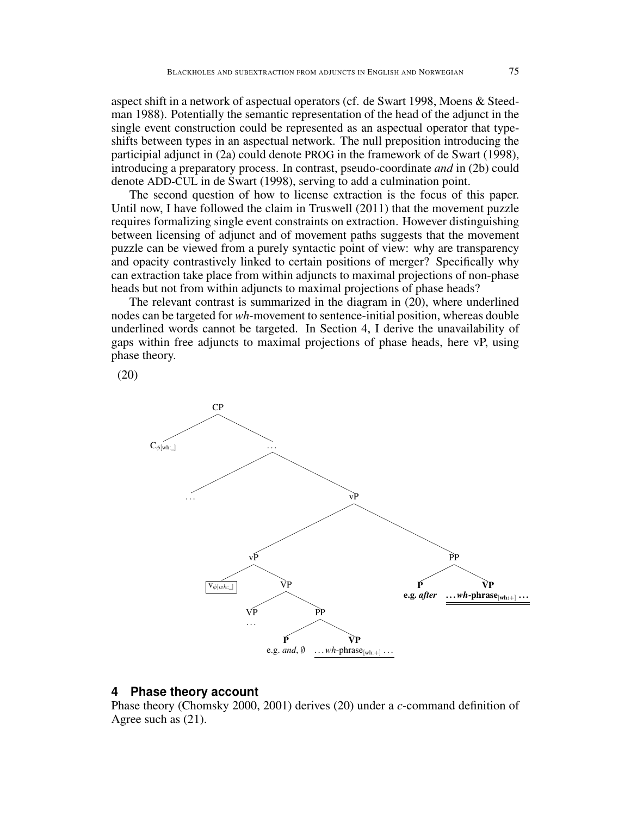aspect shift in a network of aspectual operators (cf. de Swart 1998, Moens & Steedman 1988). Potentially the semantic representation of the head of the adjunct in the single event construction could be represented as an aspectual operator that typeshifts between types in an aspectual network. The null preposition introducing the participial adjunct in (2a) could denote PROG in the framework of de Swart (1998), introducing a preparatory process. In contrast, pseudo-coordinate *and* in (2b) could denote ADD-CUL in de Swart (1998), serving to add a culmination point.

The second question of how to license extraction is the focus of this paper. Until now, I have followed the claim in Truswell (2011) that the movement puzzle requires formalizing single event constraints on extraction. However distinguishing between licensing of adjunct and of movement paths suggests that the movement puzzle can be viewed from a purely syntactic point of view: why are transparency and opacity contrastively linked to certain positions of merger? Specifically why can extraction take place from within adjuncts to maximal projections of non-phase heads but not from within adjuncts to maximal projections of phase heads?

The relevant contrast is summarized in the diagram in (20), where underlined nodes can be targeted for *wh*-movement to sentence-initial position, whereas double underlined words cannot be targeted. In Section 4, I derive the unavailability of gaps within free adjuncts to maximal projections of phase heads, here vP, using phase theory.

(20)



## **4 Phase theory account**

Phase theory (Chomsky 2000, 2001) derives (20) under a *c*-command definition of Agree such as (21).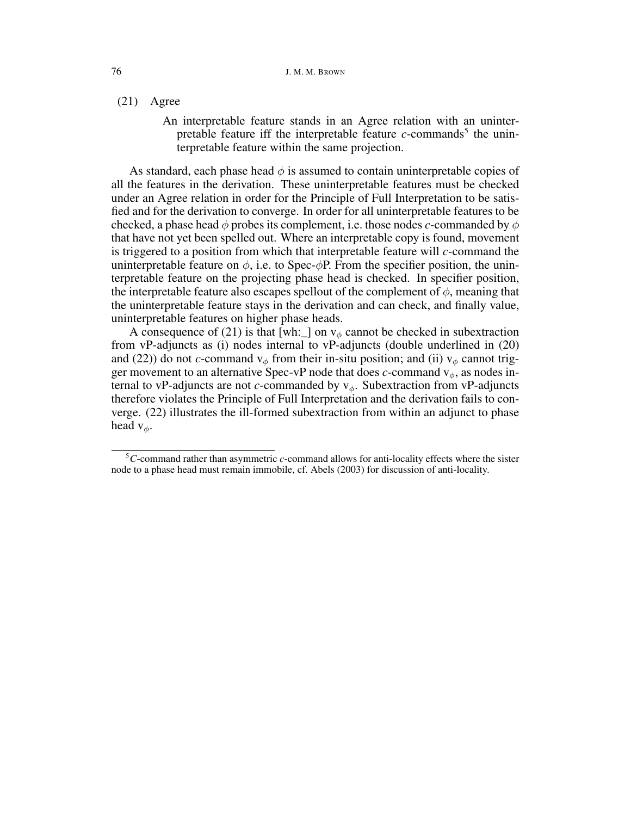(21) Agree

An interpretable feature stands in an Agree relation with an uninterpretable feature iff the interpretable feature  $c$ -commands<sup>5</sup> the uninterpretable feature within the same projection.

As standard, each phase head  $\phi$  is assumed to contain uninterpretable copies of all the features in the derivation. These uninterpretable features must be checked under an Agree relation in order for the Principle of Full Interpretation to be satisfied and for the derivation to converge. In order for all uninterpretable features to be checked, a phase head  $\phi$  probes its complement, i.e. those nodes *c*-commanded by  $\phi$ that have not yet been spelled out. Where an interpretable copy is found, movement is triggered to a position from which that interpretable feature will *c*-command the uninterpretable feature on  $\phi$ , i.e. to Spec- $\phi$ P. From the specifier position, the uninterpretable feature on the projecting phase head is checked. In specifier position, the interpretable feature also escapes spellout of the complement of  $\phi$ , meaning that the uninterpretable feature stays in the derivation and can check, and finally value, uninterpretable features on higher phase heads.

A consequence of (21) is that [wh: ] on  $v_{\phi}$  cannot be checked in subextraction from vP-adjuncts as (i) nodes internal to vP-adjuncts (double underlined in (20) and (22)) do not *c*-command  $v_{\phi}$  from their in-situ position; and (ii)  $v_{\phi}$  cannot trigger movement to an alternative Spec-vP node that does *c*-command  $v_{\phi}$ , as nodes internal to vP-adjuncts are not *c*-commanded by  $v_{\phi}$ . Subextraction from vP-adjuncts therefore violates the Principle of Full Interpretation and the derivation fails to converge. (22) illustrates the ill-formed subextraction from within an adjunct to phase head  $v_{\phi}$ .

<sup>5</sup>*C*-command rather than asymmetric *c*-command allows for anti-locality effects where the sister node to a phase head must remain immobile, cf. Abels (2003) for discussion of anti-locality.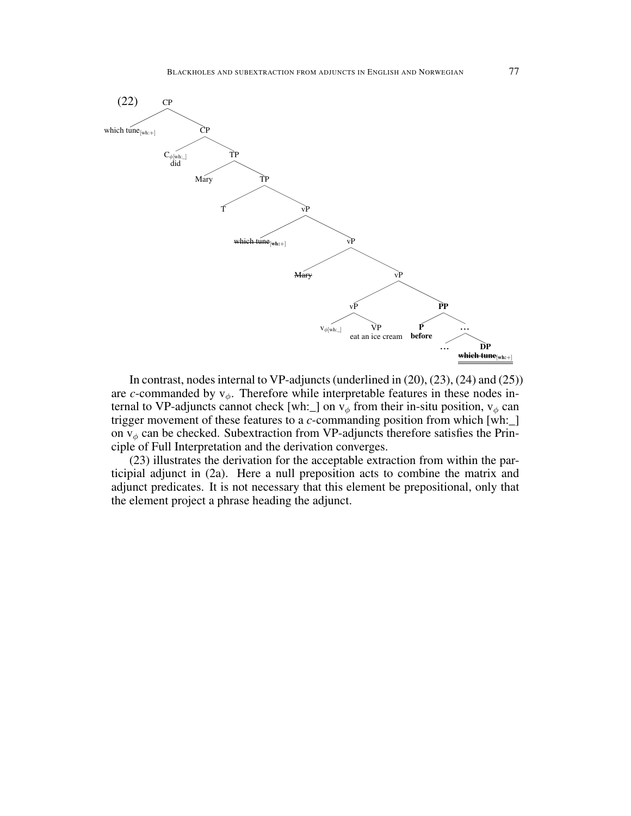

In contrast, nodes internal to VP-adjuncts (underlined in (20), (23), (24) and (25)) are *c*-commanded by  $v_{\phi}$ . Therefore while interpretable features in these nodes internal to VP-adjuncts cannot check [wh: ] on  $v_{\phi}$  from their in-situ position,  $v_{\phi}$  can trigger movement of these features to a *c*-commanding position from which [wh:\_] on  $v_{\phi}$  can be checked. Subextraction from VP-adjuncts therefore satisfies the Principle of Full Interpretation and the derivation converges.

(23) illustrates the derivation for the acceptable extraction from within the participial adjunct in (2a). Here a null preposition acts to combine the matrix and adjunct predicates. It is not necessary that this element be prepositional, only that the element project a phrase heading the adjunct.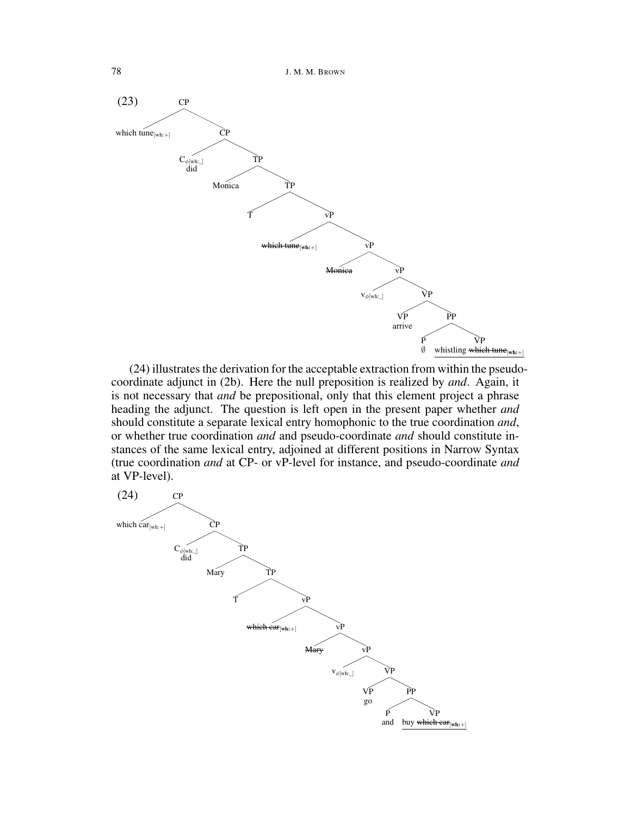78 J. M. M. BROWN



(24) illustrates the derivation for the acceptable extraction from within the pseudocoordinate adjunct in (2b). Here the null preposition is realized by *and*. Again, it is not necessary that *and* be prepositional, only that this element project a phrase heading the adjunct. The question is left open in the present paper whether *and* should constitute a separate lexical entry homophonic to the true coordination *and*, or whether true coordination *and* and pseudo-coordinate *and* should constitute instances of the same lexical entry, adjoined at different positions in Narrow Syntax (true coordination *and* at CP- or vP-level for instance, and pseudo-coordinate *and* at VP-level).

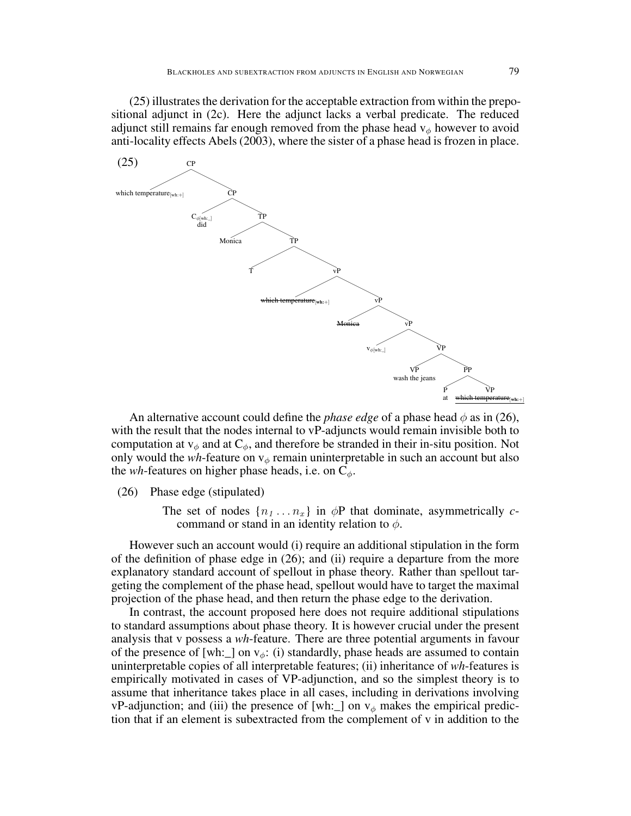(25) illustrates the derivation for the acceptable extraction from within the prepositional adjunct in (2c). Here the adjunct lacks a verbal predicate. The reduced adjunct still remains far enough removed from the phase head  $v_{\phi}$  however to avoid anti-locality effects Abels (2003), where the sister of a phase head is frozen in place.



An alternative account could define the *phase edge* of a phase head  $\phi$  as in (26), with the result that the nodes internal to vP-adjuncts would remain invisible both to computation at  $v_{\phi}$  and at  $C_{\phi}$ , and therefore be stranded in their in-situ position. Not only would the *wh*-feature on  $v_{\phi}$  remain uninterpretable in such an account but also the *wh*-features on higher phase heads, i.e. on  $C_{\phi}$ .

(26) Phase edge (stipulated)

The set of nodes  $\{n_1 \ldots n_x\}$  in  $\phi$ P that dominate, asymmetrically *c*command or stand in an identity relation to  $\phi$ .

However such an account would (i) require an additional stipulation in the form of the definition of phase edge in (26); and (ii) require a departure from the more explanatory standard account of spellout in phase theory. Rather than spellout targeting the complement of the phase head, spellout would have to target the maximal projection of the phase head, and then return the phase edge to the derivation.

In contrast, the account proposed here does not require additional stipulations to standard assumptions about phase theory. It is however crucial under the present analysis that v possess a *wh*-feature. There are three potential arguments in favour of the presence of [wh:  $\Box$ ] on v<sub> $\phi$ </sub>: (i) standardly, phase heads are assumed to contain uninterpretable copies of all interpretable features; (ii) inheritance of *wh*-features is empirically motivated in cases of VP-adjunction, and so the simplest theory is to assume that inheritance takes place in all cases, including in derivations involving vP-adjunction; and (iii) the presence of [wh: ] on  $v_{\phi}$  makes the empirical prediction that if an element is subextracted from the complement of v in addition to the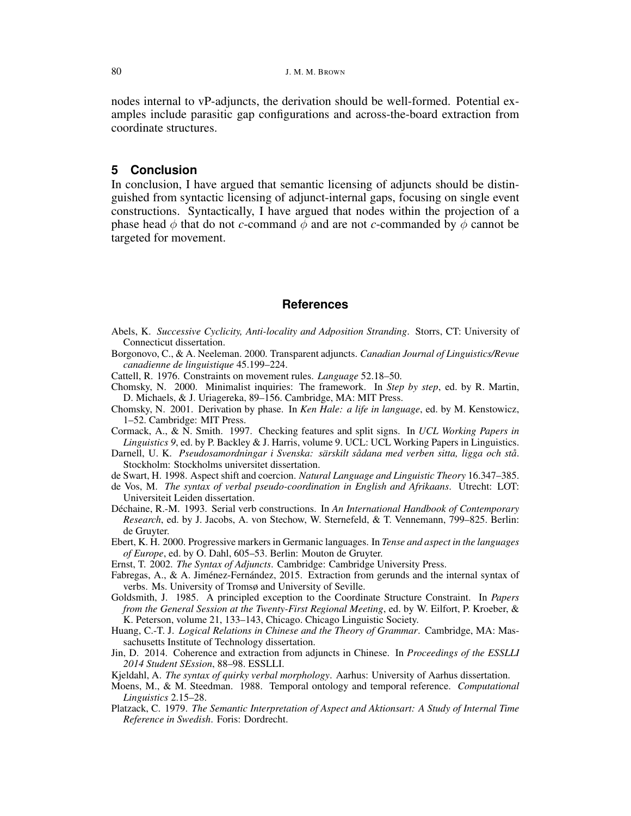nodes internal to vP-adjuncts, the derivation should be well-formed. Potential examples include parasitic gap configurations and across-the-board extraction from coordinate structures.

# **5 Conclusion**

In conclusion, I have argued that semantic licensing of adjuncts should be distinguished from syntactic licensing of adjunct-internal gaps, focusing on single event constructions. Syntactically, I have argued that nodes within the projection of a phase head  $\phi$  that do not *c*-command  $\phi$  and are not *c*-commanded by  $\phi$  cannot be targeted for movement.

## **References**

- Abels, K. *Successive Cyclicity, Anti-locality and Adposition Stranding*. Storrs, CT: University of Connecticut dissertation.
- Borgonovo, C., & A. Neeleman. 2000. Transparent adjuncts. *Canadian Journal of Linguistics/Revue canadienne de linguistique* 45.199–224.
- Cattell, R. 1976. Constraints on movement rules. *Language* 52.18–50.
- Chomsky, N. 2000. Minimalist inquiries: The framework. In *Step by step*, ed. by R. Martin, D. Michaels, & J. Uriagereka, 89–156. Cambridge, MA: MIT Press.
- Chomsky, N. 2001. Derivation by phase. In *Ken Hale: a life in language*, ed. by M. Kenstowicz, 1–52. Cambridge: MIT Press.
- Cormack, A., & N. Smith. 1997. Checking features and split signs. In *UCL Working Papers in Linguistics 9*, ed. by P. Backley & J. Harris, volume 9. UCL: UCL Working Papers in Linguistics.
- Darnell, U. K. *Pseudosamordningar i Svenska: särskilt sådana med verben sitta, ligga och stå*. Stockholm: Stockholms universitet dissertation.
- de Swart, H. 1998. Aspect shift and coercion. *Natural Language and Linguistic Theory* 16.347–385.
- de Vos, M. *The syntax of verbal pseudo-coordination in English and Afrikaans*. Utrecht: LOT: Universiteit Leiden dissertation.
- Déchaine, R.-M. 1993. Serial verb constructions. In *An International Handbook of Contemporary Research*, ed. by J. Jacobs, A. von Stechow, W. Sternefeld, & T. Vennemann, 799–825. Berlin: de Gruyter.
- Ebert, K. H. 2000. Progressive markers in Germanic languages. In *Tense and aspect in the languages of Europe*, ed. by O. Dahl, 605–53. Berlin: Mouton de Gruyter.
- Ernst, T. 2002. *The Syntax of Adjuncts*. Cambridge: Cambridge University Press.
- Fabregas, A., & A. Jiménez-Fernández, 2015. Extraction from gerunds and the internal syntax of verbs. Ms. University of Tromsø and University of Seville.
- Goldsmith, J. 1985. A principled exception to the Coordinate Structure Constraint. In *Papers from the General Session at the Twenty-First Regional Meeting*, ed. by W. Eilfort, P. Kroeber, & K. Peterson, volume 21, 133–143, Chicago. Chicago Linguistic Society.
- Huang, C.-T. J. *Logical Relations in Chinese and the Theory of Grammar*. Cambridge, MA: Massachusetts Institute of Technology dissertation.
- Jin, D. 2014. Coherence and extraction from adjuncts in Chinese. In *Proceedings of the ESSLLI 2014 Student SEssion*, 88–98. ESSLLI.
- Kjeldahl, A. *The syntax of quirky verbal morphology*. Aarhus: University of Aarhus dissertation.
- Moens, M., & M. Steedman. 1988. Temporal ontology and temporal reference. *Computational Linguistics* 2.15–28.
- Platzack, C. 1979. *The Semantic Interpretation of Aspect and Aktionsart: A Study of Internal Time Reference in Swedish*. Foris: Dordrecht.